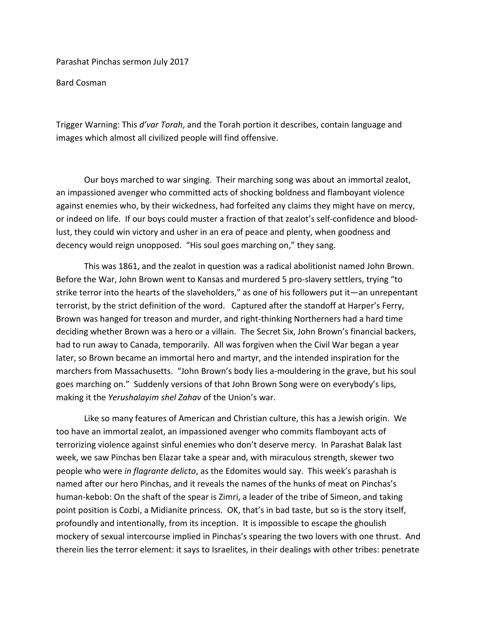Parashat Pinchas sermon July 2017

Bard Cosman

Trigger Warning: This *d'var Torah*, and the Torah portion it describes, contain language and images which almost all civilized people will find offensive.

Our boys marched to war singing. Their marching song was about an immortal zealot, an impassioned avenger who committed acts of shocking boldness and flamboyant violence against enemies who, by their wickedness, had forfeited any claims they might have on mercy, or indeed on life. If our boys could muster a fraction of that zealot's self-confidence and bloodlust, they could win victory and usher in an era of peace and plenty, when goodness and decency would reign unopposed. "His soul goes marching on," they sang.

This was 1861, and the zealot in question was a radical abolitionist named John Brown. Before the War, John Brown went to Kansas and murdered 5 pro-slavery settlers, trying "to strike terror into the hearts of the slaveholders," as one of his followers put it—an unrepentant terrorist, by the strict definition of the word. Captured after the standoff at Harper's Ferry, Brown was hanged for treason and murder, and right-thinking Northerners had a hard time deciding whether Brown was a hero or a villain. The Secret Six, John Brown's financial backers, had to run away to Canada, temporarily. All was forgiven when the Civil War began a year later, so Brown became an immortal hero and martyr, and the intended inspiration for the marchers from Massachusetts. "John Brown's body lies a-mouldering in the grave, but his soul goes marching on." Suddenly versions of that John Brown Song were on everybody's lips, making it the *Yerushalayim shel Zahav* of the Union's war.

Like so many features of American and Christian culture, this has a Jewish origin. We too have an immortal zealot, an impassioned avenger who commits flamboyant acts of terrorizing violence against sinful enemies who don't deserve mercy. In Parashat Balak last week, we saw Pinchas ben Elazar take a spear and, with miraculous strength, skewer two people who were *in flagrante delicto*, as the Edomites would say. This week's parashah is named after our hero Pinchas, and it reveals the names of the hunks of meat on Pinchas's human-kebob: On the shaft of the spear is Zimri, a leader of the tribe of Simeon, and taking point position is Cozbi, a Midianite princess. OK, that's in bad taste, but so is the story itself, profoundly and intentionally, from its inception. It is impossible to escape the ghoulish mockery of sexual intercourse implied in Pinchas's spearing the two lovers with one thrust. And therein lies the terror element: it says to Israelites, in their dealings with other tribes: penetrate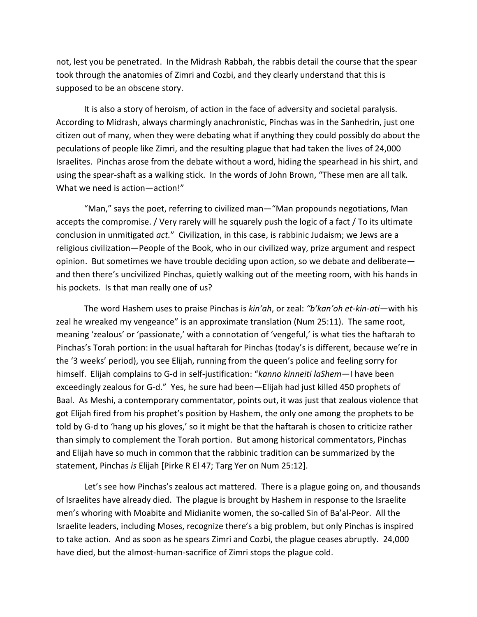not, lest you be penetrated. In the Midrash Rabbah, the rabbis detail the course that the spear took through the anatomies of Zimri and Cozbi, and they clearly understand that this is supposed to be an obscene story.

It is also a story of heroism, of action in the face of adversity and societal paralysis. According to Midrash, always charmingly anachronistic, Pinchas was in the Sanhedrin, just one citizen out of many, when they were debating what if anything they could possibly do about the peculations of people like Zimri, and the resulting plague that had taken the lives of 24,000 Israelites. Pinchas arose from the debate without a word, hiding the spearhead in his shirt, and using the spear-shaft as a walking stick. In the words of John Brown, "These men are all talk. What we need is action—action!"

"Man," says the poet, referring to civilized man—"Man propounds negotiations, Man accepts the compromise. / Very rarely will he squarely push the logic of a fact / To its ultimate conclusion in unmitigated *act.*" Civilization, in this case, is rabbinic Judaism; we Jews are a religious civilization—People of the Book, who in our civilized way, prize argument and respect opinion. But sometimes we have trouble deciding upon action, so we debate and deliberate and then there's uncivilized Pinchas, quietly walking out of the meeting room, with his hands in his pockets. Is that man really one of us?

The word Hashem uses to praise Pinchas is *kin'ah*, or zeal: *"b'kan'oh et-kin-ati—*with his zeal he wreaked my vengeance" is an approximate translation (Num 25:11). The same root, meaning 'zealous' or 'passionate,' with a connotation of 'vengeful,' is what ties the haftarah to Pinchas's Torah portion: in the usual haftarah for Pinchas (today's is different, because we're in the '3 weeks' period), you see Elijah, running from the queen's police and feeling sorry for himself. Elijah complains to G-d in self-justification: "*kanno kinneiti laShem*—I have been exceedingly zealous for G-d." Yes, he sure had been—Elijah had just killed 450 prophets of Baal. As Meshi, a contemporary commentator, points out, it was just that zealous violence that got Elijah fired from his prophet's position by Hashem, the only one among the prophets to be told by G-d to 'hang up his gloves,' so it might be that the haftarah is chosen to criticize rather than simply to complement the Torah portion. But among historical commentators, Pinchas and Elijah have so much in common that the rabbinic tradition can be summarized by the statement, Pinchas *is* Elijah [Pirke R El 47; Targ Yer on Num 25:12].

Let's see how Pinchas's zealous act mattered. There is a plague going on, and thousands of Israelites have already died. The plague is brought by Hashem in response to the Israelite men's whoring with Moabite and Midianite women, the so-called Sin of Ba'al-Peor. All the Israelite leaders, including Moses, recognize there's a big problem, but only Pinchas is inspired to take action. And as soon as he spears Zimri and Cozbi, the plague ceases abruptly. 24,000 have died, but the almost-human-sacrifice of Zimri stops the plague cold.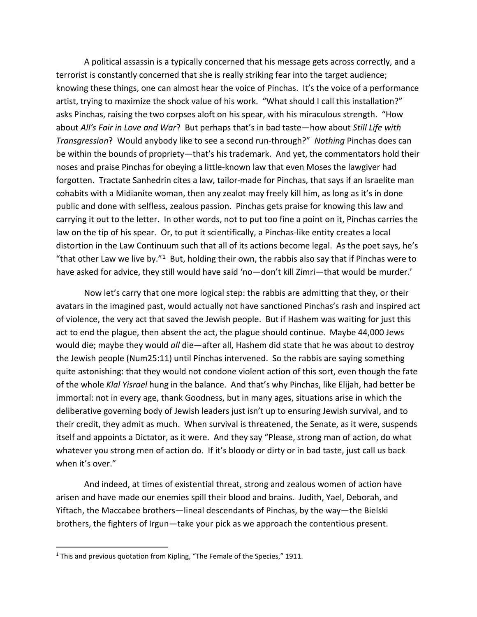A political assassin is a typically concerned that his message gets across correctly, and a terrorist is constantly concerned that she is really striking fear into the target audience; knowing these things, one can almost hear the voice of Pinchas. It's the voice of a performance artist, trying to maximize the shock value of his work. "What should I call this installation?" asks Pinchas, raising the two corpses aloft on his spear, with his miraculous strength. "How about *All's Fair in Love and War*? But perhaps that's in bad taste—how about *Still Life with Transgression*? Would anybody like to see a second run-through?" *Nothing* Pinchas does can be within the bounds of propriety—that's his trademark. And yet, the commentators hold their noses and praise Pinchas for obeying a little-known law that even Moses the lawgiver had forgotten. Tractate Sanhedrin cites a law, tailor-made for Pinchas, that says if an Israelite man cohabits with a Midianite woman, then any zealot may freely kill him, as long as it's in done public and done with selfless, zealous passion. Pinchas gets praise for knowing this law and carrying it out to the letter. In other words, not to put too fine a point on it, Pinchas carries the law on the tip of his spear. Or, to put it scientifically, a Pinchas-like entity creates a local distortion in the Law Continuum such that all of its actions become legal. As the poet says, he's "that other Law we live by." $1$  But, holding their own, the rabbis also say that if Pinchas were to have asked for advice, they still would have said 'no—don't kill Zimri—that would be murder.'

Now let's carry that one more logical step: the rabbis are admitting that they, or their avatars in the imagined past, would actually not have sanctioned Pinchas's rash and inspired act of violence, the very act that saved the Jewish people. But if Hashem was waiting for just this act to end the plague, then absent the act, the plague should continue. Maybe 44,000 Jews would die; maybe they would *all* die—after all, Hashem did state that he was about to destroy the Jewish people (Num25:11) until Pinchas intervened. So the rabbis are saying something quite astonishing: that they would not condone violent action of this sort, even though the fate of the whole *Klal Yisrael* hung in the balance. And that's why Pinchas, like Elijah, had better be immortal: not in every age, thank Goodness, but in many ages, situations arise in which the deliberative governing body of Jewish leaders just isn't up to ensuring Jewish survival, and to their credit, they admit as much. When survival is threatened, the Senate, as it were, suspends itself and appoints a Dictator, as it were. And they say "Please, strong man of action, do what whatever you strong men of action do. If it's bloody or dirty or in bad taste, just call us back when it's over."

And indeed, at times of existential threat, strong and zealous women of action have arisen and have made our enemies spill their blood and brains. Judith, Yael, Deborah, and Yiftach, the Maccabee brothers—lineal descendants of Pinchas, by the way—the Bielski brothers, the fighters of Irgun—take your pick as we approach the contentious present.

<span id="page-2-0"></span> $1$  This and previous quotation from Kipling, "The Female of the Species," 1911.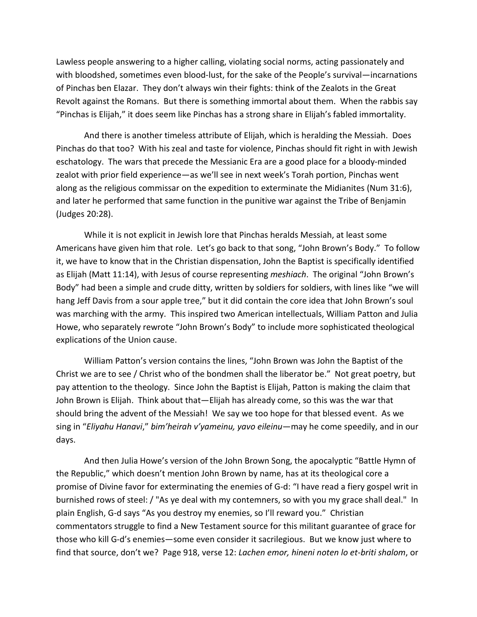Lawless people answering to a higher calling, violating social norms, acting passionately and with bloodshed, sometimes even blood-lust, for the sake of the People's survival—incarnations of Pinchas ben Elazar. They don't always win their fights: think of the Zealots in the Great Revolt against the Romans. But there is something immortal about them. When the rabbis say "Pinchas is Elijah," it does seem like Pinchas has a strong share in Elijah's fabled immortality.

And there is another timeless attribute of Elijah, which is heralding the Messiah. Does Pinchas do that too? With his zeal and taste for violence, Pinchas should fit right in with Jewish eschatology. The wars that precede the Messianic Era are a good place for a bloody-minded zealot with prior field experience—as we'll see in next week's Torah portion, Pinchas went along as the religious commissar on the expedition to exterminate the Midianites (Num 31:6), and later he performed that same function in the punitive war against the Tribe of Benjamin (Judges 20:28).

While it is not explicit in Jewish lore that Pinchas heralds Messiah, at least some Americans have given him that role. Let's go back to that song, "John Brown's Body." To follow it, we have to know that in the Christian dispensation, John the Baptist is specifically identified as Elijah (Matt 11:14), with Jesus of course representing *meshiach*. The original "John Brown's Body" had been a simple and crude ditty, written by soldiers for soldiers, with lines like "we will hang Jeff Davis from a sour apple tree," but it did contain the core idea that John Brown's soul was marching with the army. This inspired two American intellectuals, William Patton and Julia Howe, who separately rewrote "John Brown's Body" to include more sophisticated theological explications of the Union cause.

William Patton's version contains the lines, "John Brown was John the Baptist of the Christ we are to see / Christ who of the bondmen shall the liberator be." Not great poetry, but pay attention to the theology. Since John the Baptist is Elijah, Patton is making the claim that John Brown is Elijah. Think about that—Elijah has already come, so this was the war that should bring the advent of the Messiah! We say we too hope for that blessed event. As we sing in "*Eliyahu Hanavi*," *bim'heirah v'yameinu, yavo eileinu*—may he come speedily, and in our days.

And then Julia Howe's version of the John Brown Song, the apocalyptic "Battle Hymn of the Republic," which doesn't mention John Brown by name, has at its theological core a promise of Divine favor for exterminating the enemies of G-d: "I have read a fiery [gospel](https://en.wikipedia.org/wiki/Gospel) writ in burnished rows of steel: / "As ye deal with my [contemners,](https://en.wikipedia.org/wiki/Contempt) so with you my grace shall deal." In plain English, G-d says "As you destroy my enemies, so I'll reward you." Christian commentators struggle to find a New Testament source for this militant guarantee of grace for those who kill G-d's enemies—some even consider it sacrilegious. But we know just where to find that source, don't we? Page 918, verse 12: *Lachen emor, hineni noten lo et-briti shalom*, or